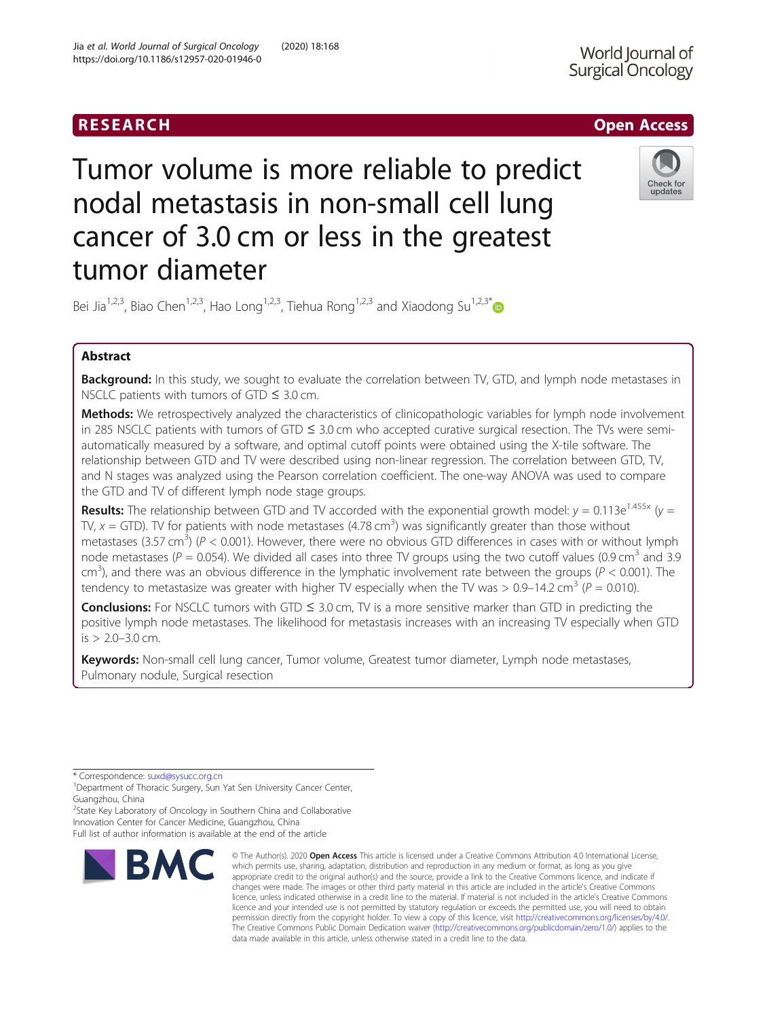# RESEARCH **RESEARCH CHOOSE ACCESS**

Tumor volume is more reliable to predict nodal metastasis in non-small cell lung cancer of 3.0 cm or less in the greatest tumor diameter



Bei Jia<sup>1,2,3</sup>, Biao Chen<sup>1,2,3</sup>, Hao Long<sup>1,2,3</sup>, Tiehua Rong<sup>1,2,3</sup> and Xiaodong Su<sup>1,2,3\*</sup>

# Abstract

Background: In this study, we sought to evaluate the correlation between TV, GTD, and lymph node metastases in NSCLC patients with tumors of GTD  $\leq 3.0$  cm.

Methods: We retrospectively analyzed the characteristics of clinicopathologic variables for lymph node involvement in 285 NSCLC patients with tumors of GTD ≤ 3.0 cm who accepted curative surgical resection. The TVs were semiautomatically measured by a software, and optimal cutoff points were obtained using the X-tile software. The relationship between GTD and TV were described using non-linear regression. The correlation between GTD, TV, and N stages was analyzed using the Pearson correlation coefficient. The one-way ANOVA was used to compare the GTD and TV of different lymph node stage groups.

**Results:** The relationship between GTD and TV accorded with the exponential growth model:  $y = 0.113e^{1.455x}$  ( $y =$ TV,  $x = GTD$ ). TV for patients with node metastases (4.78 cm<sup>3</sup>) was significantly greater than those without metastases (3.57 cm<sup>3</sup>) ( $P < 0.001$ ). However, there were no obvious GTD differences in cases with or without lymph node metastases ( $P = 0.054$ ). We divided all cases into three TV groups using the two cutoff values (0.9 cm<sup>3</sup> and 3.9  $cm<sup>3</sup>$ ), and there was an obvious difference in the lymphatic involvement rate between the groups ( $P < 0.001$ ). The tendency to metastasize was greater with higher TV especially when the TV was  $> 0.9-14.2$  cm<sup>3</sup> (P = 0.010).

**Conclusions:** For NSCLC tumors with GTD  $\leq$  3.0 cm, TV is a more sensitive marker than GTD in predicting the positive lymph node metastases. The likelihood for metastasis increases with an increasing TV especially when GTD is > 2.0–3.0 cm.

Keywords: Non-small cell lung cancer, Tumor volume, Greatest tumor diameter, Lymph node metastases, Pulmonary nodule, Surgical resection

\* Correspondence: [suxd@sysucc.org.cn](mailto:suxd@sysucc.org.cn) <sup>1</sup>

<sup>2</sup>State Key Laboratory of Oncology in Southern China and Collaborative Innovation Center for Cancer Medicine, Guangzhou, China

Full list of author information is available at the end of the article



<sup>©</sup> The Author(s), 2020 **Open Access** This article is licensed under a Creative Commons Attribution 4.0 International License, which permits use, sharing, adaptation, distribution and reproduction in any medium or format, as long as you give appropriate credit to the original author(s) and the source, provide a link to the Creative Commons licence, and indicate if changes were made. The images or other third party material in this article are included in the article's Creative Commons licence, unless indicated otherwise in a credit line to the material. If material is not included in the article's Creative Commons licence and your intended use is not permitted by statutory regulation or exceeds the permitted use, you will need to obtain permission directly from the copyright holder. To view a copy of this licence, visit [http://creativecommons.org/licenses/by/4.0/.](http://creativecommons.org/licenses/by/4.0/) The Creative Commons Public Domain Dedication waiver [\(http://creativecommons.org/publicdomain/zero/1.0/](http://creativecommons.org/publicdomain/zero/1.0/)) applies to the data made available in this article, unless otherwise stated in a credit line to the data.

<sup>&</sup>lt;sup>1</sup>Department of Thoracic Surgery, Sun Yat Sen University Cancer Center, Guangzhou, China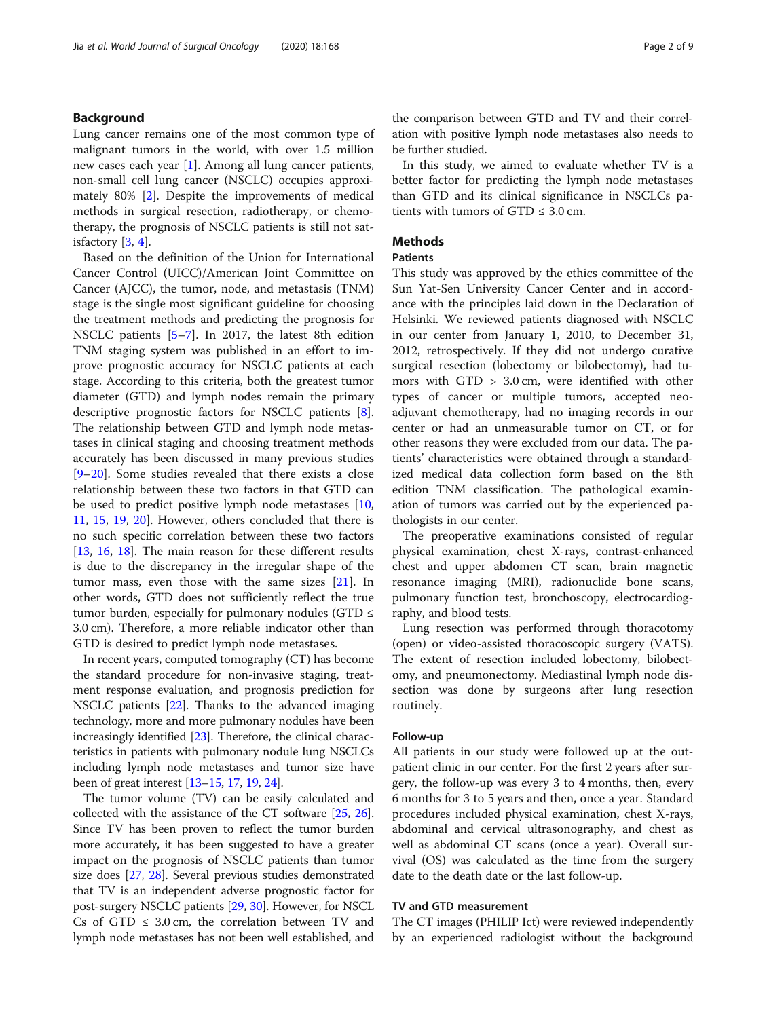# Background

Lung cancer remains one of the most common type of malignant tumors in the world, with over 1.5 million new cases each year [\[1](#page-7-0)]. Among all lung cancer patients, non-small cell lung cancer (NSCLC) occupies approximately 80% [[2](#page-7-0)]. Despite the improvements of medical methods in surgical resection, radiotherapy, or chemotherapy, the prognosis of NSCLC patients is still not satisfactory  $[3, 4]$  $[3, 4]$  $[3, 4]$  $[3, 4]$ .

Based on the definition of the Union for International Cancer Control (UICC)/American Joint Committee on Cancer (AJCC), the tumor, node, and metastasis (TNM) stage is the single most significant guideline for choosing the treatment methods and predicting the prognosis for NSCLC patients [\[5](#page-7-0)–[7\]](#page-7-0). In 2017, the latest 8th edition TNM staging system was published in an effort to improve prognostic accuracy for NSCLC patients at each stage. According to this criteria, both the greatest tumor diameter (GTD) and lymph nodes remain the primary descriptive prognostic factors for NSCLC patients [\[8](#page-7-0)]. The relationship between GTD and lymph node metastases in clinical staging and choosing treatment methods accurately has been discussed in many previous studies [[9](#page-7-0)–[20\]](#page-7-0). Some studies revealed that there exists a close relationship between these two factors in that GTD can be used to predict positive lymph node metastases [[10](#page-7-0), [11,](#page-7-0) [15](#page-7-0), [19,](#page-7-0) [20](#page-7-0)]. However, others concluded that there is no such specific correlation between these two factors [[13,](#page-7-0) [16](#page-7-0), [18](#page-7-0)]. The main reason for these different results is due to the discrepancy in the irregular shape of the tumor mass, even those with the same sizes [\[21](#page-7-0)]. In other words, GTD does not sufficiently reflect the true tumor burden, especially for pulmonary nodules (GTD  $\leq$ 3.0 cm). Therefore, a more reliable indicator other than GTD is desired to predict lymph node metastases.

In recent years, computed tomography (CT) has become the standard procedure for non-invasive staging, treatment response evaluation, and prognosis prediction for NSCLC patients [[22](#page-7-0)]. Thanks to the advanced imaging technology, more and more pulmonary nodules have been increasingly identified [[23](#page-7-0)]. Therefore, the clinical characteristics in patients with pulmonary nodule lung NSCLCs including lymph node metastases and tumor size have been of great interest [[13](#page-7-0)–[15](#page-7-0), [17](#page-7-0), [19,](#page-7-0) [24\]](#page-7-0).

The tumor volume (TV) can be easily calculated and collected with the assistance of the CT software [\[25](#page-7-0), [26](#page-7-0)]. Since TV has been proven to reflect the tumor burden more accurately, it has been suggested to have a greater impact on the prognosis of NSCLC patients than tumor size does [\[27,](#page-7-0) [28](#page-7-0)]. Several previous studies demonstrated that TV is an independent adverse prognostic factor for post-surgery NSCLC patients [[29](#page-7-0), [30\]](#page-8-0). However, for NSCL Cs of GTD  $\leq$  3.0 cm, the correlation between TV and lymph node metastases has not been well established, and the comparison between GTD and TV and their correlation with positive lymph node metastases also needs to be further studied.

In this study, we aimed to evaluate whether TV is a better factor for predicting the lymph node metastases than GTD and its clinical significance in NSCLCs patients with tumors of  $GTD \leq 3.0$  cm.

# **Methods**

# Patients

This study was approved by the ethics committee of the Sun Yat-Sen University Cancer Center and in accordance with the principles laid down in the Declaration of Helsinki. We reviewed patients diagnosed with NSCLC in our center from January 1, 2010, to December 31, 2012, retrospectively. If they did not undergo curative surgical resection (lobectomy or bilobectomy), had tumors with GTD > 3.0 cm, were identified with other types of cancer or multiple tumors, accepted neoadjuvant chemotherapy, had no imaging records in our center or had an unmeasurable tumor on CT, or for other reasons they were excluded from our data. The patients' characteristics were obtained through a standardized medical data collection form based on the 8th edition TNM classification. The pathological examination of tumors was carried out by the experienced pathologists in our center.

The preoperative examinations consisted of regular physical examination, chest X-rays, contrast-enhanced chest and upper abdomen CT scan, brain magnetic resonance imaging (MRI), radionuclide bone scans, pulmonary function test, bronchoscopy, electrocardiography, and blood tests.

Lung resection was performed through thoracotomy (open) or video-assisted thoracoscopic surgery (VATS). The extent of resection included lobectomy, bilobectomy, and pneumonectomy. Mediastinal lymph node dissection was done by surgeons after lung resection routinely.

#### Follow-up

All patients in our study were followed up at the outpatient clinic in our center. For the first 2 years after surgery, the follow-up was every 3 to 4 months, then, every 6 months for 3 to 5 years and then, once a year. Standard procedures included physical examination, chest X-rays, abdominal and cervical ultrasonography, and chest as well as abdominal CT scans (once a year). Overall survival (OS) was calculated as the time from the surgery date to the death date or the last follow-up.

# TV and GTD measurement

The CT images (PHILIP Ict) were reviewed independently by an experienced radiologist without the background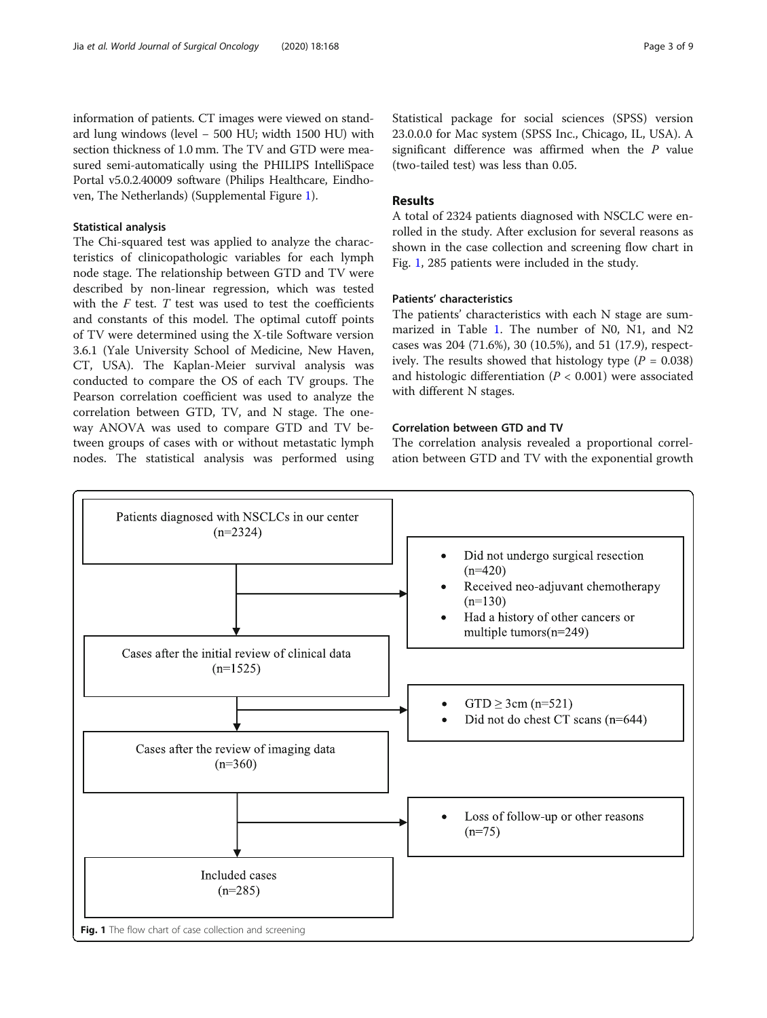information of patients. CT images were viewed on standard lung windows (level − 500 HU; width 1500 HU) with section thickness of 1.0 mm. The TV and GTD were measured semi-automatically using the PHILIPS IntelliSpace Portal v5.0.2.40009 software (Philips Healthcare, Eindhoven, The Netherlands) (Supplemental Figure [1\)](#page-7-0).

#### Statistical analysis

The Chi-squared test was applied to analyze the characteristics of clinicopathologic variables for each lymph node stage. The relationship between GTD and TV were described by non-linear regression, which was tested with the  $F$  test.  $T$  test was used to test the coefficients and constants of this model. The optimal cutoff points of TV were determined using the X-tile Software version 3.6.1 (Yale University School of Medicine, New Haven, CT, USA). The Kaplan-Meier survival analysis was conducted to compare the OS of each TV groups. The Pearson correlation coefficient was used to analyze the correlation between GTD, TV, and N stage. The oneway ANOVA was used to compare GTD and TV between groups of cases with or without metastatic lymph nodes. The statistical analysis was performed using Statistical package for social sciences (SPSS) version 23.0.0.0 for Mac system (SPSS Inc., Chicago, IL, USA). A significant difference was affirmed when the P value (two-tailed test) was less than 0.05.

# Results

A total of 2324 patients diagnosed with NSCLC were enrolled in the study. After exclusion for several reasons as shown in the case collection and screening flow chart in Fig. 1, 285 patients were included in the study.

# Patients' characteristics

The patients' characteristics with each N stage are summarized in Table [1](#page-3-0). The number of N0, N1, and N2 cases was 204 (71.6%), 30 (10.5%), and 51 (17.9), respectively. The results showed that histology type ( $P = 0.038$ ) and histologic differentiation ( $P < 0.001$ ) were associated with different N stages.

# Correlation between GTD and TV

The correlation analysis revealed a proportional correlation between GTD and TV with the exponential growth

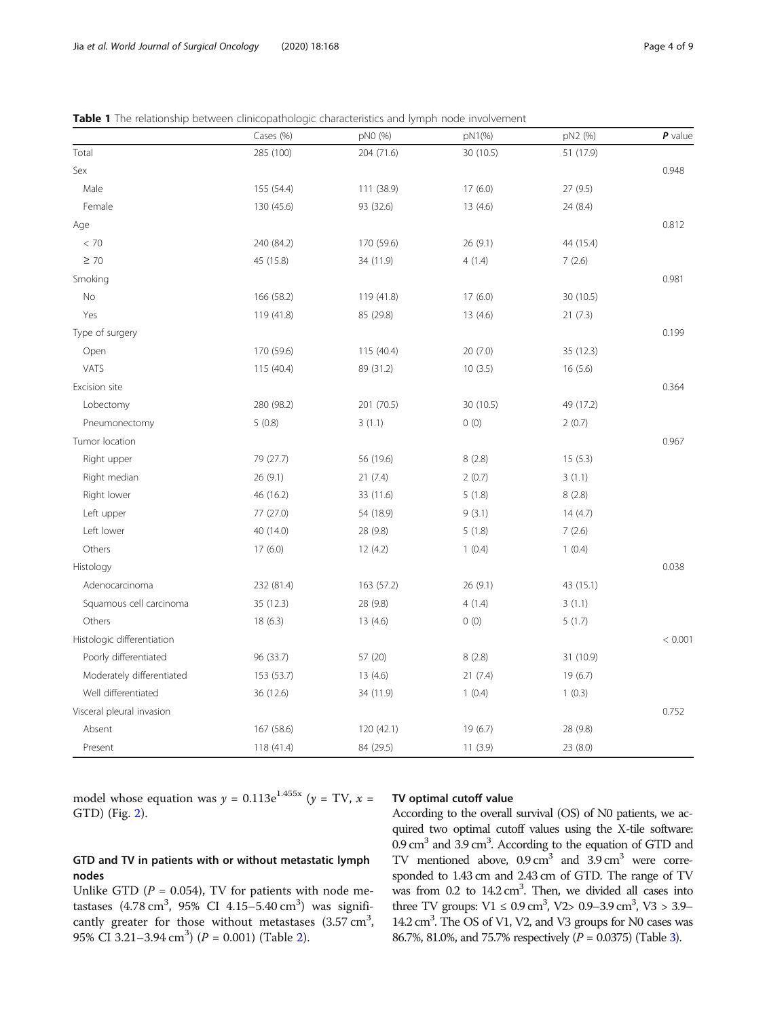<span id="page-3-0"></span>

| <b>Table 1</b> The relationship between clinicopathologic characteristics and lymph node involvement |
|------------------------------------------------------------------------------------------------------|
|------------------------------------------------------------------------------------------------------|

|                            | Cases (%)  | pN0 (%)    | pN1(%)    | pN2 (%)   | P value |
|----------------------------|------------|------------|-----------|-----------|---------|
| Total                      | 285 (100)  | 204 (71.6) | 30 (10.5) | 51 (17.9) |         |
| Sex                        |            |            |           |           | 0.948   |
| Male                       | 155 (54.4) | 111 (38.9) | 17(6.0)   | 27 (9.5)  |         |
| Female                     | 130 (45.6) | 93 (32.6)  | 13(4.6)   | 24 (8.4)  |         |
| Age                        |            |            |           |           | 0.812   |
| < 70                       | 240 (84.2) | 170 (59.6) | 26(9.1)   | 44 (15.4) |         |
| $\geq 70$                  | 45 (15.8)  | 34 (11.9)  | 4(1.4)    | 7(2.6)    |         |
| Smoking                    |            |            |           |           | 0.981   |
| No                         | 166 (58.2) | 119 (41.8) | 17(6.0)   | 30 (10.5) |         |
| Yes                        | 119 (41.8) | 85 (29.8)  | 13(4.6)   | 21(7.3)   |         |
| Type of surgery            |            |            |           |           | 0.199   |
| Open                       | 170 (59.6) | 115 (40.4) | 20(7.0)   | 35 (12.3) |         |
| VATS                       | 115 (40.4) | 89 (31.2)  | 10(3.5)   | 16(5.6)   |         |
| Excision site              |            |            |           |           | 0.364   |
| Lobectomy                  | 280 (98.2) | 201 (70.5) | 30 (10.5) | 49 (17.2) |         |
| Pneumonectomy              | 5(0.8)     | 3(1.1)     | 0(0)      | 2(0.7)    |         |
| Tumor location             |            |            |           |           | 0.967   |
| Right upper                | 79 (27.7)  | 56 (19.6)  | 8(2.8)    | 15(5.3)   |         |
| Right median               | 26 (9.1)   | 21(7.4)    | 2(0.7)    | 3(1.1)    |         |
| Right lower                | 46 (16.2)  | 33 (11.6)  | 5(1.8)    | 8(2.8)    |         |
| Left upper                 | 77 (27.0)  | 54 (18.9)  | 9(3.1)    | 14(4.7)   |         |
| Left lower                 | 40 (14.0)  | 28 (9.8)   | 5(1.8)    | 7(2.6)    |         |
| Others                     | 17(6.0)    | 12(4.2)    | 1(0.4)    | 1(0.4)    |         |
| Histology                  |            |            |           |           | 0.038   |
| Adenocarcinoma             | 232 (81.4) | 163 (57.2) | 26(9.1)   | 43 (15.1) |         |
| Squamous cell carcinoma    | 35 (12.3)  | 28 (9.8)   | 4(1.4)    | 3(1.1)    |         |
| Others                     | 18(6.3)    | 13(4.6)    | 0(0)      | 5(1.7)    |         |
| Histologic differentiation |            |            |           |           | < 0.001 |
| Poorly differentiated      | 96 (33.7)  | 57 (20)    | 8(2.8)    | 31 (10.9) |         |
| Moderately differentiated  | 153 (53.7) | 13(4.6)    | 21(7.4)   | 19 (6.7)  |         |
| Well differentiated        | 36 (12.6)  | 34 (11.9)  | 1(0.4)    | 1(0.3)    |         |
| Visceral pleural invasion  |            |            |           |           | 0.752   |
| Absent                     | 167 (58.6) | 120 (42.1) | 19(6.7)   | 28 (9.8)  |         |
| Present                    | 118 (41.4) | 84 (29.5)  | 11(3.9)   | 23(8.0)   |         |

model whose equation was  $y = 0.113e^{1.455x}$  ( $y = TV$ ,  $x =$ GTD) (Fig. [2](#page-4-0)).

# TV optimal cutoff value

# GTD and TV in patients with or without metastatic lymph nodes

Unlike GTD ( $P = 0.054$ ), TV for patients with node metastases  $(4.78 \text{ cm}^3, 95\% \text{ CI } 4.15 - 5.40 \text{ cm}^3)$  was significantly greater for those without metastases  $(3.57 \text{ cm}^3,$ 95% CI 3.[2](#page-4-0)1-3.94 cm<sup>3</sup>) ( $P = 0.001$ ) (Table 2).

According to the overall survival (OS) of N0 patients, we acquired two optimal cutoff values using the X-tile software: 0.9 cm<sup>3</sup> and 3.9 cm<sup>3</sup>. According to the equation of GTD and TV mentioned above,  $0.9 \text{ cm}^3$  and  $3.9 \text{ cm}^3$  were corresponded to 1.43 cm and 2.43 cm of GTD. The range of TV was from  $0.2$  to  $14.2 \text{ cm}^3$ . Then, we divided all cases into three TV groups:  $V1 \le 0.9$  cm<sup>3</sup>,  $V2 > 0.9 - 3.9$  cm<sup>3</sup>,  $V3 > 3.9 -$ 14.2 cm<sup>3</sup>. The OS of V1, V2, and V3 groups for N0 cases was 86.7%, 81.0%, and 75.7% respectively (P = 0.0375) (Table [3\)](#page-5-0).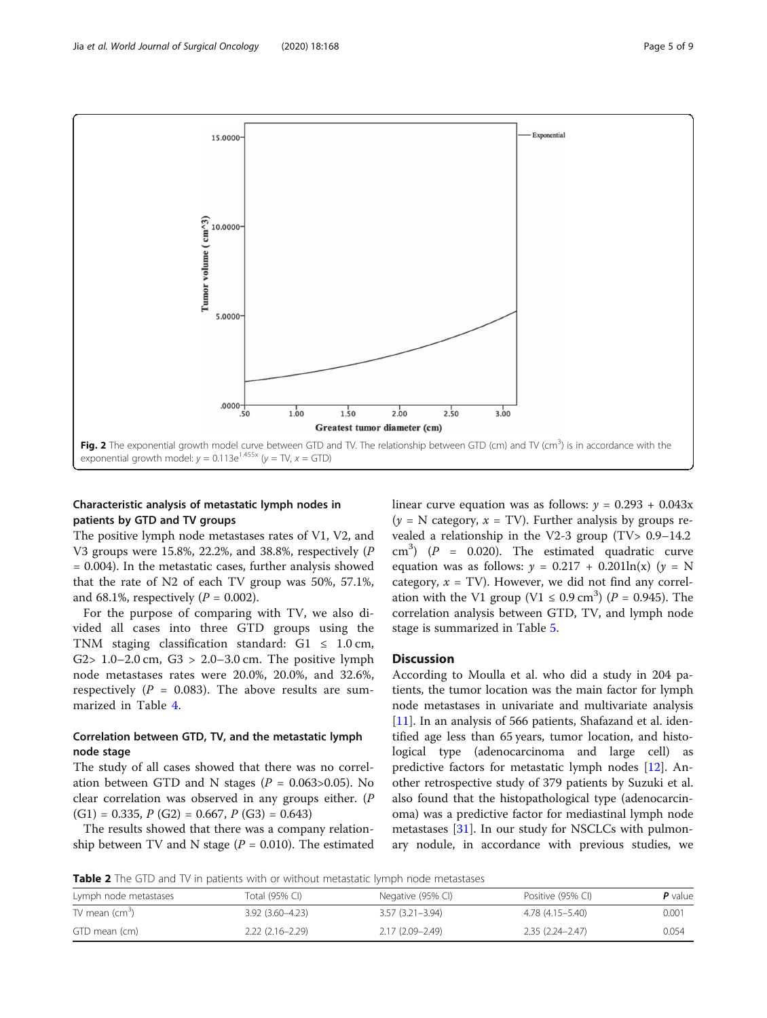<span id="page-4-0"></span>

# Characteristic analysis of metastatic lymph nodes in patients by GTD and TV groups

The positive lymph node metastases rates of V1, V2, and V3 groups were 15.8%, 22.2%, and 38.8%, respectively (P = 0.004). In the metastatic cases, further analysis showed that the rate of N2 of each TV group was 50%, 57.1%, and 68.1%, respectively  $(P = 0.002)$ .

For the purpose of comparing with TV, we also divided all cases into three GTD groups using the TNM staging classification standard:  $GI \leq 1.0 \text{ cm}$ , G2> 1.0–2.0 cm, G3 > 2.0–3.0 cm. The positive lymph node metastases rates were 20.0%, 20.0%, and 32.6%, respectively ( $P = 0.083$ ). The above results are summarized in Table [4](#page-5-0).

# Correlation between GTD, TV, and the metastatic lymph node stage

The study of all cases showed that there was no correlation between GTD and N stages ( $P = 0.063 > 0.05$ ). No clear correlation was observed in any groups either. (P  $(G1) = 0.335$ ,  $P(G2) = 0.667$ ,  $P(G3) = 0.643$ 

The results showed that there was a company relationship between TV and N stage ( $P = 0.010$ ). The estimated linear curve equation was as follows:  $y = 0.293 + 0.043x$  $(y = N \text{ category}, x = TV)$ . Further analysis by groups revealed a relationship in the V2-3 group (TV> 0.9–14.2  $\text{cm}^3$ ) (P = 0.020). The estimated quadratic curve equation was as follows:  $y = 0.217 + 0.201\ln(x)$  ( $y = N$ category,  $x = TV$ ). However, we did not find any correlation with the V1 group (V1  $\leq$  0.9 cm<sup>3</sup>) (P = 0.945). The correlation analysis between GTD, TV, and lymph node stage is summarized in Table [5](#page-6-0).

# **Discussion**

According to Moulla et al. who did a study in 204 patients, the tumor location was the main factor for lymph node metastases in univariate and multivariate analysis [[11\]](#page-7-0). In an analysis of 566 patients, Shafazand et al. identified age less than 65 years, tumor location, and histological type (adenocarcinoma and large cell) as predictive factors for metastatic lymph nodes [\[12](#page-7-0)]. Another retrospective study of 379 patients by Suzuki et al. also found that the histopathological type (adenocarcinoma) was a predictive factor for mediastinal lymph node metastases  $[31]$  $[31]$ . In our study for NSCLCs with pulmonary nodule, in accordance with previous studies, we

**Table 2** The GTD and TV in patients with or without metastatic lymph node metastases

| Lymph node metastases      | Total (95% CI)      | Negative (95% CI)   | Positive (95% CI)   | <b>P</b> value |
|----------------------------|---------------------|---------------------|---------------------|----------------|
| TV mean (cm <sup>3</sup> ) | $3.92(3.60 - 4.23)$ | $3.57(3.21 - 3.94)$ | 4.78 (4.15–5.40)    | $0.00^{\circ}$ |
| GTD mean (cm)              | $2.22(2.16-2.29)$   | 2.17 (2.09–2.49)    | $2.35(2.24 - 2.47)$ | 0.054          |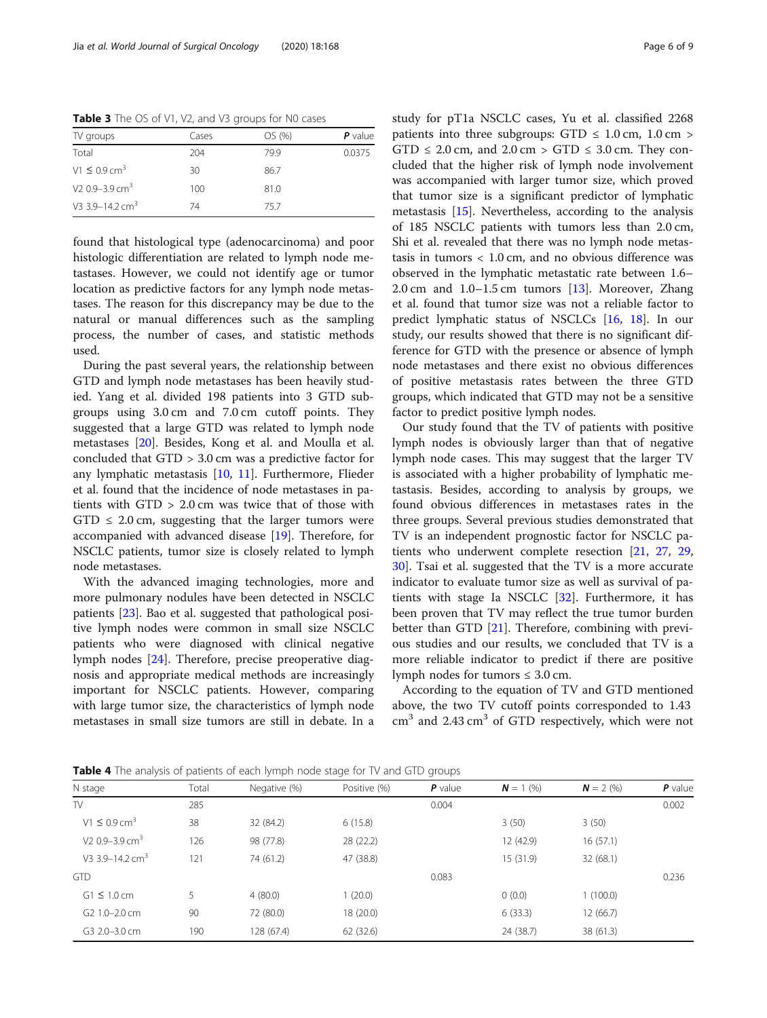<span id="page-5-0"></span>Table 3 The OS of V1, V2, and V3 groups for N0 cases

| TV groups                     | Cases | OS (%) | $P$ value |
|-------------------------------|-------|--------|-----------|
| Total                         | 204   | 799    | 0.0375    |
| $V1 \leq 0.9$ cm <sup>3</sup> | 30    | 86.7   |           |
| V <sub>2</sub> 0.9–3.9 $cm3$  | 100   | 81.0   |           |
| V3 3.9-14.2 $cm3$             | 74    | 757    |           |

found that histological type (adenocarcinoma) and poor histologic differentiation are related to lymph node metastases. However, we could not identify age or tumor location as predictive factors for any lymph node metastases. The reason for this discrepancy may be due to the natural or manual differences such as the sampling process, the number of cases, and statistic methods used.

During the past several years, the relationship between GTD and lymph node metastases has been heavily studied. Yang et al. divided 198 patients into 3 GTD subgroups using 3.0 cm and 7.0 cm cutoff points. They suggested that a large GTD was related to lymph node metastases [[20\]](#page-7-0). Besides, Kong et al. and Moulla et al. concluded that GTD > 3.0 cm was a predictive factor for any lymphatic metastasis [[10](#page-7-0), [11\]](#page-7-0). Furthermore, Flieder et al. found that the incidence of node metastases in patients with GTD > 2.0 cm was twice that of those with  $GTD \leq 2.0$  cm, suggesting that the larger tumors were accompanied with advanced disease [\[19](#page-7-0)]. Therefore, for NSCLC patients, tumor size is closely related to lymph node metastases.

With the advanced imaging technologies, more and more pulmonary nodules have been detected in NSCLC patients [\[23](#page-7-0)]. Bao et al. suggested that pathological positive lymph nodes were common in small size NSCLC patients who were diagnosed with clinical negative lymph nodes [\[24](#page-7-0)]. Therefore, precise preoperative diagnosis and appropriate medical methods are increasingly important for NSCLC patients. However, comparing with large tumor size, the characteristics of lymph node metastases in small size tumors are still in debate. In a study for pT1a NSCLC cases, Yu et al. classified 2268 patients into three subgroups:  $GTD \leq 1.0$  cm,  $1.0$  cm >  $GTD \le 2.0$  cm, and  $2.0$  cm >  $GTD \le 3.0$  cm. They concluded that the higher risk of lymph node involvement was accompanied with larger tumor size, which proved that tumor size is a significant predictor of lymphatic metastasis [\[15\]](#page-7-0). Nevertheless, according to the analysis of 185 NSCLC patients with tumors less than 2.0 cm, Shi et al. revealed that there was no lymph node metastasis in tumors  $< 1.0$  cm, and no obvious difference was observed in the lymphatic metastatic rate between 1.6– 2.0 cm and 1.0–1.5 cm tumors [[13](#page-7-0)]. Moreover, Zhang et al. found that tumor size was not a reliable factor to predict lymphatic status of NSCLCs [[16](#page-7-0), [18](#page-7-0)]. In our study, our results showed that there is no significant difference for GTD with the presence or absence of lymph node metastases and there exist no obvious differences of positive metastasis rates between the three GTD groups, which indicated that GTD may not be a sensitive factor to predict positive lymph nodes.

Our study found that the TV of patients with positive lymph nodes is obviously larger than that of negative lymph node cases. This may suggest that the larger TV is associated with a higher probability of lymphatic metastasis. Besides, according to analysis by groups, we found obvious differences in metastases rates in the three groups. Several previous studies demonstrated that TV is an independent prognostic factor for NSCLC patients who underwent complete resection [\[21,](#page-7-0) [27](#page-7-0), [29](#page-7-0), [30\]](#page-8-0). Tsai et al. suggested that the TV is a more accurate indicator to evaluate tumor size as well as survival of patients with stage Ia NSCLC [\[32\]](#page-8-0). Furthermore, it has been proven that TV may reflect the true tumor burden better than GTD [[21](#page-7-0)]. Therefore, combining with previous studies and our results, we concluded that TV is a more reliable indicator to predict if there are positive lymph nodes for tumors  $\leq 3.0$  cm.

According to the equation of TV and GTD mentioned above, the two TV cutoff points corresponded to 1.43  $cm<sup>3</sup>$  and 2.43  $cm<sup>3</sup>$  of GTD respectively, which were not

**Table 4** The analysis of patients of each lymph node stage for TV and GTD groups

| $\overline{\phantom{a}}$               |       | $\sim$ $\sim$ | $\tilde{\phantom{a}}$ |           |             |                |           |
|----------------------------------------|-------|---------------|-----------------------|-----------|-------------|----------------|-----------|
| N stage                                | Total | Negative (%)  | Positive (%)          | $P$ value | $N = 1$ (%) | $N = 2 \, (%)$ | $P$ value |
| TV                                     | 285   |               |                       | 0.004     |             |                | 0.002     |
| $V1 \le 0.9$ cm <sup>3</sup>           | 38    | 32 (84.2)     | 6(15.8)               |           | 3(50)       | 3(50)          |           |
| V <sub>2</sub> 0.9–3.9 cm <sup>3</sup> | 126   | 98 (77.8)     | 28 (22.2)             |           | 12 (42.9)   | 16(57.1)       |           |
| V3 3.9-14.2 $cm3$                      | 121   | 74 (61.2)     | 47 (38.8)             |           | 15 (31.9)   | 32(68.1)       |           |
| <b>GTD</b>                             |       |               |                       | 0.083     |             |                | 0.236     |
| $G1 \leq 1.0$ cm                       | 5     | 4(80.0)       | 1(20.0)               |           | 0(0.0)      | 1(100.0)       |           |
| G <sub>2</sub> 1.0-2.0 cm              | 90    | 72 (80.0)     | 18 (20.0)             |           | 6(33.3)     | 12(66.7)       |           |
| G3 2.0-3.0 cm                          | 190   | 128 (67.4)    | 62 (32.6)             |           | 24 (38.7)   | 38 (61.3)      |           |
|                                        |       |               |                       |           |             |                |           |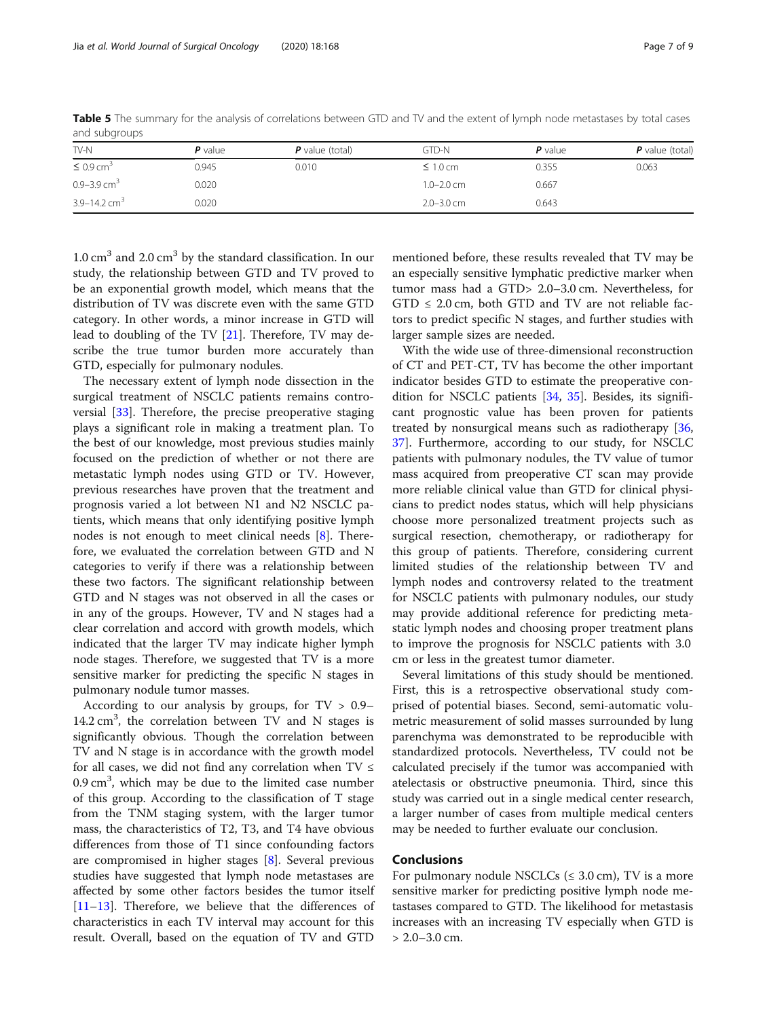| and sabyroups                |           |                   |                |           |                   |  |
|------------------------------|-----------|-------------------|----------------|-----------|-------------------|--|
| TV-N                         | $P$ value | $P$ value (total) | GTD-N          | $P$ value | $P$ value (total) |  |
| $\leq 0.9$ cm <sup>3</sup>   | 0.945     | 0.010             | $\leq 1.0$ cm  | 0.355     | 0.063             |  |
| 0.9–3.9 cm <sup>3</sup>      | 0.020     |                   | $1.0 - 2.0$ cm | 0.667     |                   |  |
| $3.9 - 14.2$ cm <sup>3</sup> | 0.020     |                   | $2.0 - 3.0$ cm | 0.643     |                   |  |

<span id="page-6-0"></span>Table 5 The summary for the analysis of correlations between GTD and TV and the extent of lymph node metastases by total cases and subgroups

 $1.0 \text{ cm}^3$  and  $2.0 \text{ cm}^3$  by the standard classification. In our study, the relationship between GTD and TV proved to be an exponential growth model, which means that the distribution of TV was discrete even with the same GTD category. In other words, a minor increase in GTD will lead to doubling of the TV [[21](#page-7-0)]. Therefore, TV may describe the true tumor burden more accurately than GTD, especially for pulmonary nodules.

The necessary extent of lymph node dissection in the surgical treatment of NSCLC patients remains controversial [\[33\]](#page-8-0). Therefore, the precise preoperative staging plays a significant role in making a treatment plan. To the best of our knowledge, most previous studies mainly focused on the prediction of whether or not there are metastatic lymph nodes using GTD or TV. However, previous researches have proven that the treatment and prognosis varied a lot between N1 and N2 NSCLC patients, which means that only identifying positive lymph nodes is not enough to meet clinical needs [\[8](#page-7-0)]. Therefore, we evaluated the correlation between GTD and N categories to verify if there was a relationship between these two factors. The significant relationship between GTD and N stages was not observed in all the cases or in any of the groups. However, TV and N stages had a clear correlation and accord with growth models, which indicated that the larger TV may indicate higher lymph node stages. Therefore, we suggested that TV is a more sensitive marker for predicting the specific N stages in pulmonary nodule tumor masses.

According to our analysis by groups, for  $TV > 0.9-$ 14.2 cm<sup>3</sup>, the correlation between TV and N stages is significantly obvious. Though the correlation between TV and N stage is in accordance with the growth model for all cases, we did not find any correlation when TV  $\leq$  $0.9 \text{ cm}^3$ , which may be due to the limited case number of this group. According to the classification of T stage from the TNM staging system, with the larger tumor mass, the characteristics of T2, T3, and T4 have obvious differences from those of T1 since confounding factors are compromised in higher stages [\[8\]](#page-7-0). Several previous studies have suggested that lymph node metastases are affected by some other factors besides the tumor itself [[11](#page-7-0)–[13](#page-7-0)]. Therefore, we believe that the differences of characteristics in each TV interval may account for this result. Overall, based on the equation of TV and GTD

mentioned before, these results revealed that TV may be an especially sensitive lymphatic predictive marker when tumor mass had a GTD> 2.0–3.0 cm. Nevertheless, for  $GTD \leq 2.0$  cm, both  $GTD$  and  $TV$  are not reliable factors to predict specific N stages, and further studies with larger sample sizes are needed.

With the wide use of three-dimensional reconstruction of CT and PET-CT, TV has become the other important indicator besides GTD to estimate the preoperative condition for NSCLC patients [\[34](#page-8-0), [35\]](#page-8-0). Besides, its significant prognostic value has been proven for patients treated by nonsurgical means such as radiotherapy [[36](#page-8-0), [37\]](#page-8-0). Furthermore, according to our study, for NSCLC patients with pulmonary nodules, the TV value of tumor mass acquired from preoperative CT scan may provide more reliable clinical value than GTD for clinical physicians to predict nodes status, which will help physicians choose more personalized treatment projects such as surgical resection, chemotherapy, or radiotherapy for this group of patients. Therefore, considering current limited studies of the relationship between TV and lymph nodes and controversy related to the treatment for NSCLC patients with pulmonary nodules, our study may provide additional reference for predicting metastatic lymph nodes and choosing proper treatment plans to improve the prognosis for NSCLC patients with 3.0 cm or less in the greatest tumor diameter.

Several limitations of this study should be mentioned. First, this is a retrospective observational study comprised of potential biases. Second, semi-automatic volumetric measurement of solid masses surrounded by lung parenchyma was demonstrated to be reproducible with standardized protocols. Nevertheless, TV could not be calculated precisely if the tumor was accompanied with atelectasis or obstructive pneumonia. Third, since this study was carried out in a single medical center research, a larger number of cases from multiple medical centers may be needed to further evaluate our conclusion.

#### Conclusions

For pulmonary nodule NSCLCs ( $\leq 3.0$  cm), TV is a more sensitive marker for predicting positive lymph node metastases compared to GTD. The likelihood for metastasis increases with an increasing TV especially when GTD is > 2.0–3.0 cm.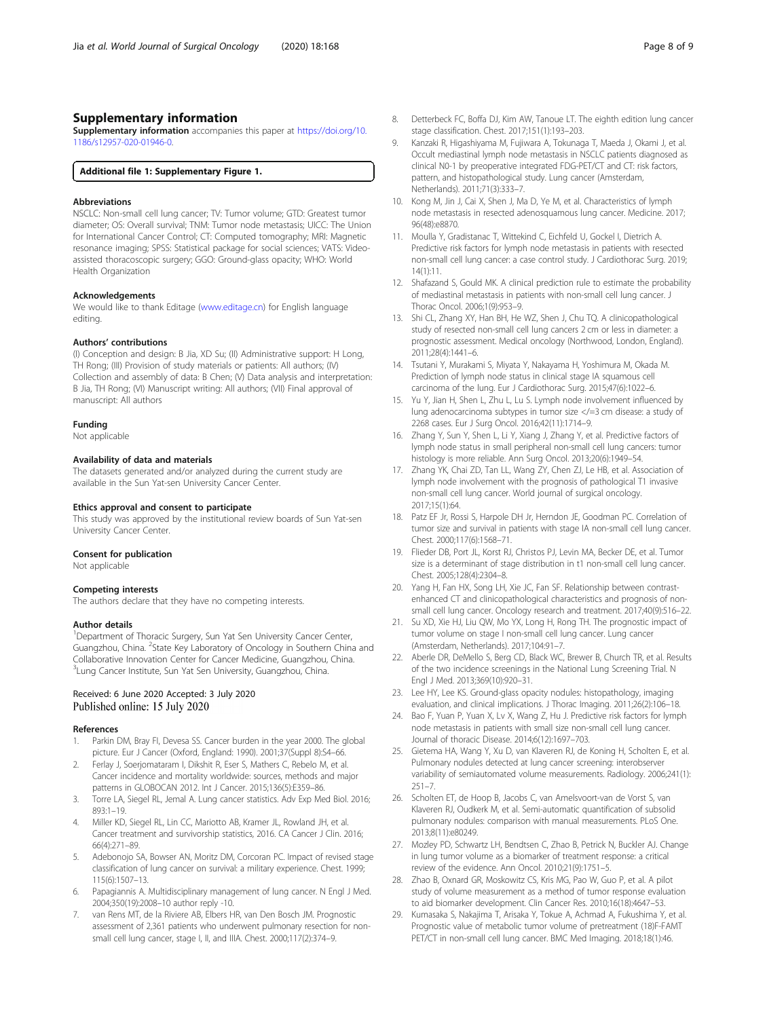# <span id="page-7-0"></span>Supplementary information

Supplementary information accompanies this paper at [https://doi.org/10.](https://doi.org/10.1186/s12957-020-01946-0) [1186/s12957-020-01946-0](https://doi.org/10.1186/s12957-020-01946-0).

#### Additional file 1: Supplementary Figure 1.

#### Abbreviations

NSCLC: Non-small cell lung cancer; TV: Tumor volume; GTD: Greatest tumor diameter; OS: Overall survival; TNM: Tumor node metastasis; UICC: The Union for International Cancer Control; CT: Computed tomography; MRI: Magnetic resonance imaging; SPSS: Statistical package for social sciences; VATS: Videoassisted thoracoscopic surgery; GGO: Ground-glass opacity; WHO: World Health Organization

#### Acknowledgements

We would like to thank Editage ([www.editage.cn](http://www.editage.cn)) for English language editing.

#### Authors' contributions

(I) Conception and design: B Jia, XD Su; (II) Administrative support: H Long, TH Rong; (III) Provision of study materials or patients: All authors; (IV) Collection and assembly of data: B Chen; (V) Data analysis and interpretation: B Jia, TH Rong; (VI) Manuscript writing: All authors; (VII) Final approval of manuscript: All authors

#### Funding

Not applicable

#### Availability of data and materials

The datasets generated and/or analyzed during the current study are available in the Sun Yat-sen University Cancer Center.

#### Ethics approval and consent to participate

This study was approved by the institutional review boards of Sun Yat-sen University Cancer Center.

#### Consent for publication

Not applicable

#### Competing interests

The authors declare that they have no competing interests.

#### Author details

<sup>1</sup>Department of Thoracic Surgery, Sun Yat Sen University Cancer Center, Guangzhou, China. <sup>2</sup>State Key Laboratory of Oncology in Southern China and Collaborative Innovation Center for Cancer Medicine, Guangzhou, China. <sup>3</sup> Lung Cancer Institute, Sun Yat Sen University, Guangzhou, China.

#### Received: 6 June 2020 Accepted: 3 July 2020 Published online: 15 July 2020

#### References

- 1. Parkin DM, Bray FI, Devesa SS. Cancer burden in the year 2000. The global picture. Eur J Cancer (Oxford, England: 1990). 2001;37(Suppl 8):S4–66.
- Ferlay J, Soerjomataram I, Dikshit R, Eser S, Mathers C, Rebelo M, et al. Cancer incidence and mortality worldwide: sources, methods and major patterns in GLOBOCAN 2012. Int J Cancer. 2015;136(5):E359–86.
- 3. Torre LA, Siegel RL, Jemal A. Lung cancer statistics. Adv Exp Med Biol. 2016; 893:1–19.
- 4. Miller KD, Siegel RL, Lin CC, Mariotto AB, Kramer JL, Rowland JH, et al. Cancer treatment and survivorship statistics, 2016. CA Cancer J Clin. 2016; 66(4):271–89.
- 5. Adebonojo SA, Bowser AN, Moritz DM, Corcoran PC. Impact of revised stage classification of lung cancer on survival: a military experience. Chest. 1999; 115(6):1507–13.
- Papagiannis A. Multidisciplinary management of lung cancer. N Engl J Med. 2004;350(19):2008–10 author reply -10.
- 7. van Rens MT, de la Riviere AB, Elbers HR, van Den Bosch JM. Prognostic assessment of 2,361 patients who underwent pulmonary resection for nonsmall cell lung cancer, stage I, II, and IIIA. Chest. 2000;117(2):374–9.
- 8. Detterbeck FC, Boffa DJ, Kim AW, Tanoue LT. The eighth edition lung cancer stage classification. Chest. 2017;151(1):193–203.
- 9. Kanzaki R, Higashiyama M, Fujiwara A, Tokunaga T, Maeda J, Okami J, et al. Occult mediastinal lymph node metastasis in NSCLC patients diagnosed as clinical N0-1 by preoperative integrated FDG-PET/CT and CT: risk factors, pattern, and histopathological study. Lung cancer (Amsterdam, Netherlands). 2011;71(3):333–7.
- 10. Kong M, Jin J, Cai X, Shen J, Ma D, Ye M, et al. Characteristics of lymph node metastasis in resected adenosquamous lung cancer. Medicine. 2017; 96(48):e8870.
- 11. Moulla Y, Gradistanac T, Wittekind C, Eichfeld U, Gockel I, Dietrich A. Predictive risk factors for lymph node metastasis in patients with resected non-small cell lung cancer: a case control study. J Cardiothorac Surg. 2019; 14(1):11.
- 12. Shafazand S, Gould MK. A clinical prediction rule to estimate the probability of mediastinal metastasis in patients with non-small cell lung cancer. J Thorac Oncol. 2006;1(9):953–9.
- 13. Shi CL, Zhang XY, Han BH, He WZ, Shen J, Chu TQ. A clinicopathological study of resected non-small cell lung cancers 2 cm or less in diameter: a prognostic assessment. Medical oncology (Northwood, London, England). 2011;28(4):1441–6.
- 14. Tsutani Y, Murakami S, Miyata Y, Nakayama H, Yoshimura M, Okada M. Prediction of lymph node status in clinical stage IA squamous cell carcinoma of the lung. Eur J Cardiothorac Surg. 2015;47(6):1022–6.
- 15. Yu Y, Jian H, Shen L, Zhu L, Lu S. Lymph node involvement influenced by lung adenocarcinoma subtypes in tumor size </=3 cm disease: a study of 2268 cases. Eur J Surg Oncol. 2016;42(11):1714–9.
- 16. Zhang Y, Sun Y, Shen L, Li Y, Xiang J, Zhang Y, et al. Predictive factors of lymph node status in small peripheral non-small cell lung cancers: tumor histology is more reliable. Ann Surg Oncol. 2013;20(6):1949–54.
- 17. Zhang YK, Chai ZD, Tan LL, Wang ZY, Chen ZJ, Le HB, et al. Association of lymph node involvement with the prognosis of pathological T1 invasive non-small cell lung cancer. World journal of surgical oncology. 2017;15(1):64.
- 18. Patz EF Jr, Rossi S, Harpole DH Jr, Herndon JE, Goodman PC. Correlation of tumor size and survival in patients with stage IA non-small cell lung cancer. Chest. 2000;117(6):1568–71.
- 19. Flieder DB, Port JL, Korst RJ, Christos PJ, Levin MA, Becker DE, et al. Tumor size is a determinant of stage distribution in t1 non-small cell lung cancer. Chest. 2005;128(4):2304–8.
- 20. Yang H, Fan HX, Song LH, Xie JC, Fan SF. Relationship between contrastenhanced CT and clinicopathological characteristics and prognosis of nonsmall cell lung cancer. Oncology research and treatment. 2017;40(9):516–22.
- 21. Su XD, Xie HJ, Liu QW, Mo YX, Long H, Rong TH. The prognostic impact of tumor volume on stage I non-small cell lung cancer. Lung cancer (Amsterdam, Netherlands). 2017;104:91–7.
- 22. Aberle DR, DeMello S, Berg CD, Black WC, Brewer B, Church TR, et al. Results of the two incidence screenings in the National Lung Screening Trial. N Engl J Med. 2013;369(10):920–31.
- 23. Lee HY, Lee KS. Ground-glass opacity nodules: histopathology, imaging evaluation, and clinical implications. J Thorac Imaging. 2011;26(2):106–18.
- 24. Bao F, Yuan P, Yuan X, Lv X, Wang Z, Hu J. Predictive risk factors for lymph node metastasis in patients with small size non-small cell lung cancer. Journal of thoracic Disease. 2014;6(12):1697–703.
- 25. Gietema HA, Wang Y, Xu D, van Klaveren RJ, de Koning H, Scholten E, et al. Pulmonary nodules detected at lung cancer screening: interobserver variability of semiautomated volume measurements. Radiology. 2006;241(1):  $251 - 7.$
- 26. Scholten ET, de Hoop B, Jacobs C, van Amelsvoort-van de Vorst S, van Klaveren RJ, Oudkerk M, et al. Semi-automatic quantification of subsolid pulmonary nodules: comparison with manual measurements. PLoS One. 2013;8(11):e80249.
- 27. Mozley PD, Schwartz LH, Bendtsen C, Zhao B, Petrick N, Buckler AJ. Change in lung tumor volume as a biomarker of treatment response: a critical review of the evidence. Ann Oncol. 2010;21(9):1751–5.
- 28. Zhao B, Oxnard GR, Moskowitz CS, Kris MG, Pao W, Guo P, et al. A pilot study of volume measurement as a method of tumor response evaluation to aid biomarker development. Clin Cancer Res. 2010;16(18):4647–53.
- 29. Kumasaka S, Nakajima T, Arisaka Y, Tokue A, Achmad A, Fukushima Y, et al. Prognostic value of metabolic tumor volume of pretreatment (18)F-FAMT PET/CT in non-small cell lung cancer. BMC Med Imaging. 2018;18(1):46.